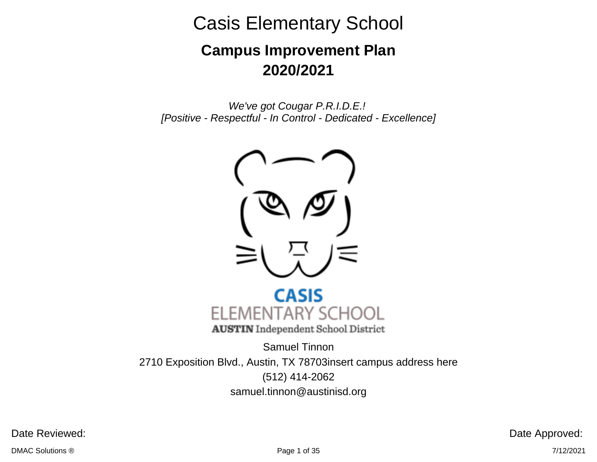# **Campus Improvement Plan 2020/2021**

We've got Cougar P.R.I.D.E.! [Positive - Respectful - In Control - Dedicated - Excellence]





Samuel Tinnon 2710 Exposition Blvd., Austin, TX 78703insert campus address here (512) 414-2062 samuel.tinnon@austinisd.org

Date Reviewed: Date Approved: Date Approved: Date Approved:

 $\blacksquare$ DMAC Solutions  $@$   $7/12/2021$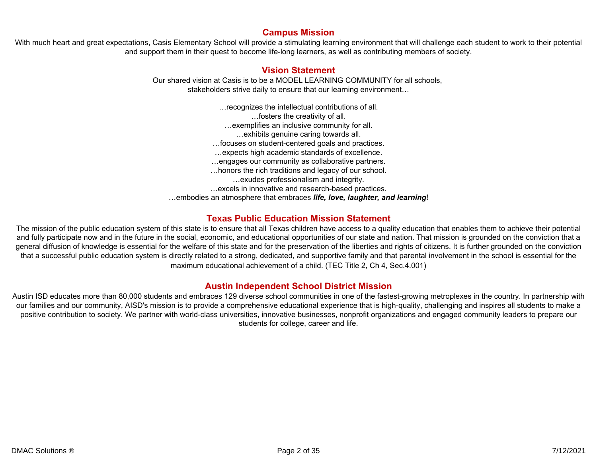#### **Campus Mission**

With much heart and great expectations, Casis Elementary School will provide a stimulating learning environment that will challenge each student to work to their potential and support them in their quest to become life-long learners, as well as contributing members of society.

#### **Vision Statement**

Our shared vision at Casis is to be a MODEL LEARNING COMMUNITY for all schools, stakeholders strive daily to ensure that our learning environment…

…recognizes the intellectual contributions of all. …fosters the creativity of all. …exemplifies an inclusive community for all. …exhibits genuine caring towards all. …focuses on student-centered goals and practices. …expects high academic standards of excellence. …engages our community as collaborative partners. …honors the rich traditions and legacy of our school. …exudes professionalism and integrity. …excels in innovative and research-based practices. …embodies an atmosphere that embraces *life, love, laughter, and learning*!

#### **Texas Public Education Mission Statement**

The mission of the public education system of this state is to ensure that all Texas children have access to a quality education that enables them to achieve their potential and fully participate now and in the future in the social, economic, and educational opportunities of our state and nation. That mission is grounded on the conviction that a general diffusion of knowledge is essential for the welfare of this state and for the preservation of the liberties and rights of citizens. It is further grounded on the conviction that a successful public education system is directly related to a strong, dedicated, and supportive family and that parental involvement in the school is essential for the maximum educational achievement of a child. (TEC Title 2, Ch 4, Sec.4.001)

#### **Austin Independent School District Mission**

Austin ISD educates more than 80,000 students and embraces 129 diverse school communities in one of the fastest-growing metroplexes in the country. In partnership with our families and our community, AISD's mission is to provide a comprehensive educational experience that is high-quality, challenging and inspires all students to make a positive contribution to society. We partner with world-class universities, innovative businesses, nonprofit organizations and engaged community leaders to prepare our students for college, career and life.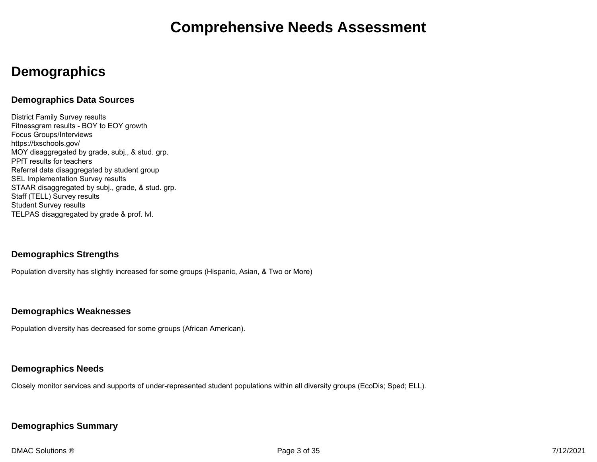### **Demographics**

#### **Demographics Data Sources**

District Family Survey results Fitnessgram results - BOY to EOY growth Focus Groups/Interviews https://txschools.gov/ MOY disaggregated by grade, subj., & stud. grp. PPfT results for teachers Referral data disaggregated by student group SEL Implementation Survey results STAAR disaggregated by subj., grade, & stud. grp. Staff (TELL) Survey results Student Survey results TELPAS disaggregated by grade & prof. lvl.

#### **Demographics Strengths**

Population diversity has slightly increased for some groups (Hispanic, Asian, & Two or More)

#### **Demographics Weaknesses**

Population diversity has decreased for some groups (African American).

#### **Demographics Needs**

Closely monitor services and supports of under-represented student populations within all diversity groups (EcoDis; Sped; ELL).

#### **Demographics Summary**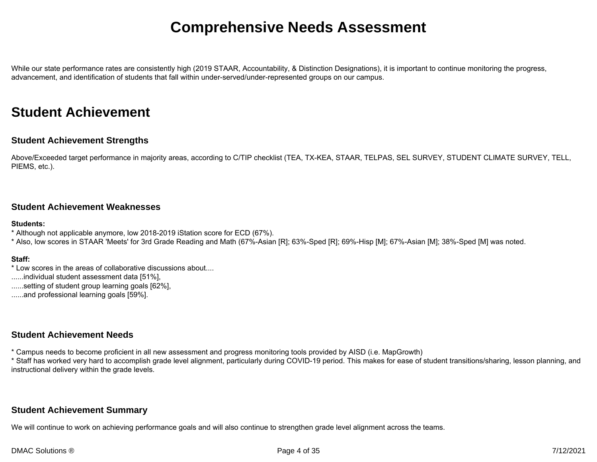While our state performance rates are consistently high (2019 STAAR, Accountability, & Distinction Designations), it is important to continue monitoring the progress, advancement, and identification of students that fall within under-served/under-represented groups on our campus.

### **Student Achievement**

#### **Student Achievement Strengths**

Above/Exceeded target performance in majority areas, according to C/TIP checklist (TEA, TX-KEA, STAAR, TELPAS, SEL SURVEY, STUDENT CLIMATE SURVEY, TELL, PIEMS, etc.).

#### **Student Achievement Weaknesses**

#### **Students:**

- \* Although not applicable anymore, low 2018-2019 iStation score for ECD (67%).
- \* Also, low scores in STAAR 'Meets' for 3rd Grade Reading and Math (67%-Asian [R]; 63%-Sped [R]; 69%-Hisp [M]; 67%-Asian [M]; 38%-Sped [M] was noted.

#### **Staff:**

- \* Low scores in the areas of collaborative discussions about....
- ......individual student assessment data [51%],
- ......setting of student group learning goals [62%],
- ......and professional learning goals [59%].

#### **Student Achievement Needs**

- \* Campus needs to become proficient in all new assessment and progress monitoring tools provided by AISD (i.e. MapGrowth)
- \* Staff has worked very hard to accomplish grade level alignment, particularly during COVID-19 period. This makes for ease of student transitions/sharing, lesson planning, and instructional delivery within the grade levels.

#### **Student Achievement Summary**

We will continue to work on achieving performance goals and will also continue to strengthen grade level alignment across the teams.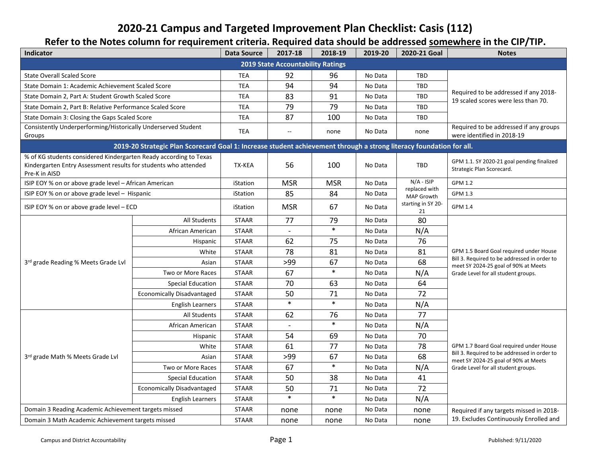### **2020-21 Campus and Targeted Improvement Plan Checklist: Casis (112)**

### **Refer to the Notes column for requirement criteria. Required data should be addressed somewhere in the CIP/TIP.**

| <b>Indicator</b>                                                                                                                                      |                                                                                                                     | <b>Data Source</b> | 2017-18                                  | 2018-19    | 2019-20 | 2020-21 Goal                | <b>Notes</b>                                                                         |
|-------------------------------------------------------------------------------------------------------------------------------------------------------|---------------------------------------------------------------------------------------------------------------------|--------------------|------------------------------------------|------------|---------|-----------------------------|--------------------------------------------------------------------------------------|
|                                                                                                                                                       |                                                                                                                     |                    | <b>2019 State Accountability Ratings</b> |            |         |                             |                                                                                      |
| <b>State Overall Scaled Score</b>                                                                                                                     |                                                                                                                     | <b>TEA</b>         | 92                                       | 96         | No Data | TBD                         |                                                                                      |
| State Domain 1: Academic Achievement Scaled Score                                                                                                     |                                                                                                                     | <b>TEA</b>         | 94                                       | 94         | No Data | <b>TBD</b>                  |                                                                                      |
| State Domain 2, Part A: Student Growth Scaled Score                                                                                                   |                                                                                                                     | <b>TEA</b>         | 83                                       | 91         | No Data | TBD                         | Required to be addressed if any 2018-<br>19 scaled scores were less than 70.         |
| State Domain 2, Part B: Relative Performance Scaled Score                                                                                             |                                                                                                                     | TEA                | 79                                       | 79         | No Data | TBD                         |                                                                                      |
| State Domain 3: Closing the Gaps Scaled Score                                                                                                         |                                                                                                                     | <b>TEA</b>         | 87                                       | 100        | No Data | TBD                         |                                                                                      |
| Consistently Underperforming/Historically Underserved Student<br>Groups                                                                               |                                                                                                                     | <b>TEA</b>         | $\sim$ $\sim$                            | none       | No Data | none                        | Required to be addressed if any groups<br>were identified in 2018-19                 |
|                                                                                                                                                       | 2019-20 Strategic Plan Scorecard Goal 1: Increase student achievement through a strong literacy foundation for all. |                    |                                          |            |         |                             |                                                                                      |
| % of KG students considered Kindergarten Ready according to Texas<br>Kindergarten Entry Assessment results for students who attended<br>Pre-K in AISD |                                                                                                                     | TX-KEA             | 56                                       | 100        | No Data | TBD                         | GPM 1.1. SY 2020-21 goal pending finalized<br>Strategic Plan Scorecard.              |
| ISIP EOY % on or above grade level - African American                                                                                                 |                                                                                                                     | iStation           | <b>MSR</b>                               | <b>MSR</b> | No Data | $N/A - ISIP$                | <b>GPM 1.2</b>                                                                       |
| ISIP EOY % on or above grade level - Hispanic                                                                                                         |                                                                                                                     | iStation           | 85                                       | 84         | No Data | replaced with<br>MAP Growth | GPM 1.3                                                                              |
| ISIP EOY % on or above grade level - ECD                                                                                                              |                                                                                                                     | iStation           | <b>MSR</b>                               | 67         | No Data | starting in SY 20-<br>21    | <b>GPM 1.4</b>                                                                       |
|                                                                                                                                                       | All Students                                                                                                        | <b>STAAR</b>       | 77                                       | 79         | No Data | 80                          |                                                                                      |
|                                                                                                                                                       | African American                                                                                                    | <b>STAAR</b>       | $\overline{\phantom{a}}$                 | $\ast$     | No Data | N/A                         |                                                                                      |
|                                                                                                                                                       | Hispanic                                                                                                            | <b>STAAR</b>       | 62                                       | 75         | No Data | 76                          |                                                                                      |
|                                                                                                                                                       | White                                                                                                               | <b>STAAR</b>       | 78                                       | 81         | No Data | 81                          | GPM 1.5 Board Goal required under House                                              |
| 3rd grade Reading % Meets Grade Lvl                                                                                                                   | Asian                                                                                                               | <b>STAAR</b>       | >99                                      | 67         | No Data | 68                          | Bill 3. Required to be addressed in order to<br>meet SY 2024-25 goal of 90% at Meets |
|                                                                                                                                                       | Two or More Races                                                                                                   | <b>STAAR</b>       | 67                                       | $\ast$     | No Data | N/A                         | Grade Level for all student groups.                                                  |
|                                                                                                                                                       | <b>Special Education</b>                                                                                            | <b>STAAR</b>       | 70                                       | 63         | No Data | 64                          |                                                                                      |
|                                                                                                                                                       | <b>Economically Disadvantaged</b>                                                                                   | <b>STAAR</b>       | 50                                       | 71         | No Data | 72                          |                                                                                      |
|                                                                                                                                                       | <b>English Learners</b>                                                                                             | <b>STAAR</b>       | $\ast$                                   | $\ast$     | No Data | N/A                         |                                                                                      |
|                                                                                                                                                       | All Students                                                                                                        | <b>STAAR</b>       | 62                                       | 76         | No Data | 77                          |                                                                                      |
|                                                                                                                                                       | African American                                                                                                    | <b>STAAR</b>       |                                          | $\ast$     | No Data | N/A                         |                                                                                      |
|                                                                                                                                                       | Hispanic                                                                                                            | <b>STAAR</b>       | 54                                       | 69         | No Data | 70                          |                                                                                      |
|                                                                                                                                                       | White                                                                                                               | <b>STAAR</b>       | 61                                       | 77         | No Data | 78                          | GPM 1.7 Board Goal required under House                                              |
| 3rd grade Math % Meets Grade Lvl                                                                                                                      | Asian                                                                                                               | <b>STAAR</b>       | >99                                      | 67         | No Data | 68                          | Bill 3. Required to be addressed in order to<br>meet SY 2024-25 goal of 90% at Meets |
|                                                                                                                                                       | Two or More Races                                                                                                   | <b>STAAR</b>       | 67                                       | $\ast$     | No Data | N/A                         | Grade Level for all student groups.                                                  |
|                                                                                                                                                       | <b>Special Education</b>                                                                                            | <b>STAAR</b>       | 50                                       | 38         | No Data | 41                          |                                                                                      |
|                                                                                                                                                       | <b>Economically Disadvantaged</b>                                                                                   | <b>STAAR</b>       | 50                                       | 71         | No Data | 72                          |                                                                                      |
|                                                                                                                                                       | <b>English Learners</b>                                                                                             | <b>STAAR</b>       | $\ast$                                   | $\ast$     | No Data | N/A                         |                                                                                      |
| Domain 3 Reading Academic Achievement targets missed                                                                                                  |                                                                                                                     | <b>STAAR</b>       | none                                     | none       | No Data | none                        | Required if any targets missed in 2018-                                              |
| Domain 3 Math Academic Achievement targets missed                                                                                                     |                                                                                                                     | <b>STAAR</b>       | none                                     | none       | No Data | none                        | 19. Excludes Continuously Enrolled and                                               |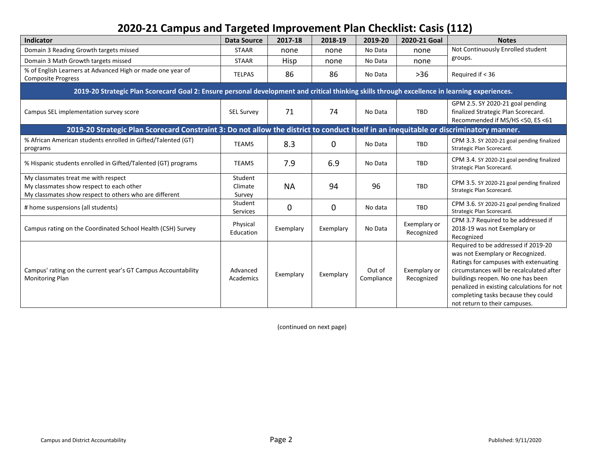### **2020-21 Campus and Targeted Improvement Plan Checklist: Casis (112)**

| <b>Indicator</b>                                                                                                                              | <b>Data Source</b>           | 2017-18   | 2018-19     | 2019-20              | 2020-21 Goal               | <b>Notes</b>                                                                                                                                                                                                                                                                                                            |
|-----------------------------------------------------------------------------------------------------------------------------------------------|------------------------------|-----------|-------------|----------------------|----------------------------|-------------------------------------------------------------------------------------------------------------------------------------------------------------------------------------------------------------------------------------------------------------------------------------------------------------------------|
| Domain 3 Reading Growth targets missed                                                                                                        | <b>STAAR</b>                 | none      | none        | No Data              | none                       | Not Continuously Enrolled student                                                                                                                                                                                                                                                                                       |
| Domain 3 Math Growth targets missed                                                                                                           | <b>STAAR</b>                 | Hisp      | none        | No Data              | none                       | groups.                                                                                                                                                                                                                                                                                                                 |
| % of English Learners at Advanced High or made one year of<br><b>Composite Progress</b>                                                       | <b>TELPAS</b>                | 86        | 86          | No Data              | $>36$                      | Required if $<$ 36                                                                                                                                                                                                                                                                                                      |
| 2019-20 Strategic Plan Scorecard Goal 2: Ensure personal development and critical thinking skills through excellence in learning experiences. |                              |           |             |                      |                            |                                                                                                                                                                                                                                                                                                                         |
| Campus SEL implementation survey score                                                                                                        | <b>SEL Survey</b>            | 71        | 74          | No Data              | TBD                        | GPM 2.5. SY 2020-21 goal pending<br>finalized Strategic Plan Scorecard.<br>Recommended if MS/HS <50, ES <61                                                                                                                                                                                                             |
| 2019-20 Strategic Plan Scorecard Constraint 3: Do not allow the district to conduct itself in an inequitable or discriminatory manner.        |                              |           |             |                      |                            |                                                                                                                                                                                                                                                                                                                         |
| % African American students enrolled in Gifted/Talented (GT)<br>programs                                                                      | <b>TEAMS</b>                 | 8.3       | $\mathbf 0$ | No Data              | TBD                        | CPM 3.3. SY 2020-21 goal pending finalized<br>Strategic Plan Scorecard.                                                                                                                                                                                                                                                 |
| % Hispanic students enrolled in Gifted/Talented (GT) programs                                                                                 | <b>TEAMS</b>                 | 7.9       | 6.9         | No Data              | TBD                        | CPM 3.4. SY 2020-21 goal pending finalized<br>Strategic Plan Scorecard.                                                                                                                                                                                                                                                 |
| My classmates treat me with respect<br>My classmates show respect to each other<br>My classmates show respect to others who are different     | Student<br>Climate<br>Survey | <b>NA</b> | 94          | 96                   | TBD                        | CPM 3.5. SY 2020-21 goal pending finalized<br>Strategic Plan Scorecard.                                                                                                                                                                                                                                                 |
| # home suspensions (all students)                                                                                                             | Student<br>Services          | 0         | $\mathbf 0$ | No data              | TBD                        | CPM 3.6. SY 2020-21 goal pending finalized<br>Strategic Plan Scorecard.                                                                                                                                                                                                                                                 |
| Campus rating on the Coordinated School Health (CSH) Survey                                                                                   | Physical<br>Education        | Exemplary | Exemplary   | No Data              | Exemplary or<br>Recognized | CPM 3.7 Required to be addressed if<br>2018-19 was not Exemplary or<br>Recognized                                                                                                                                                                                                                                       |
| Campus' rating on the current year's GT Campus Accountability<br><b>Monitoring Plan</b>                                                       | Advanced<br>Academics        | Exemplary | Exemplary   | Out of<br>Compliance | Exemplary or<br>Recognized | Required to be addressed if 2019-20<br>was not Exemplary or Recognized.<br>Ratings for campuses with extenuating<br>circumstances will be recalculated after<br>buildings reopen. No one has been<br>penalized in existing calculations for not<br>completing tasks because they could<br>not return to their campuses. |

(continued on next page)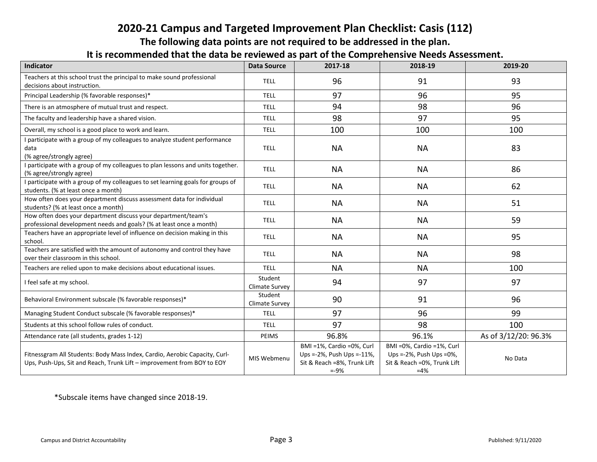### **2020-21 Campus and Targeted Improvement Plan Checklist: Casis (112)**

**The following data points are not required to be addressed in the plan.** 

#### **It is recommended that the data be reviewed as part of the Comprehensive Needs Assessment.**

| <b>AUTHOLOGY CHAS ALL MATH WE LEVIEWED NO MALL OF ALL COLLIMICITY CONTRACTORY INDICIDITI</b><br>Indicator                                            | <b>Data Source</b>        | 2017-18                                                                                          | 2018-19                                                                                         | 2019-20              |
|------------------------------------------------------------------------------------------------------------------------------------------------------|---------------------------|--------------------------------------------------------------------------------------------------|-------------------------------------------------------------------------------------------------|----------------------|
| Teachers at this school trust the principal to make sound professional<br>decisions about instruction.                                               | <b>TELL</b>               | 96                                                                                               | 91                                                                                              | 93                   |
| Principal Leadership (% favorable responses)*                                                                                                        | <b>TELL</b>               | 97                                                                                               | 96                                                                                              | 95                   |
| There is an atmosphere of mutual trust and respect.                                                                                                  | <b>TELL</b>               | 94                                                                                               | 98                                                                                              | 96                   |
| The faculty and leadership have a shared vision.                                                                                                     | <b>TELL</b>               | 98                                                                                               | 97                                                                                              | 95                   |
| Overall, my school is a good place to work and learn.                                                                                                | <b>TELL</b>               | 100                                                                                              | 100                                                                                             | 100                  |
| I participate with a group of my colleagues to analyze student performance<br>data<br>(% agree/strongly agree)                                       | <b>TELL</b>               | <b>NA</b>                                                                                        | <b>NA</b>                                                                                       | 83                   |
| I participate with a group of my colleagues to plan lessons and units together.<br>(% agree/strongly agree)                                          | <b>TELL</b>               | <b>NA</b>                                                                                        | <b>NA</b>                                                                                       | 86                   |
| I participate with a group of my colleagues to set learning goals for groups of<br>students. (% at least once a month)                               | <b>TELL</b>               | <b>NA</b>                                                                                        | <b>NA</b>                                                                                       | 62                   |
| How often does your department discuss assessment data for individual<br>students? (% at least once a month)                                         | <b>TELL</b>               | <b>NA</b>                                                                                        | <b>NA</b>                                                                                       | 51                   |
| How often does your department discuss your department/team's<br>professional development needs and goals? (% at least once a month)                 | <b>TELL</b>               | <b>NA</b>                                                                                        | <b>NA</b>                                                                                       | 59                   |
| Teachers have an appropriate level of influence on decision making in this<br>school.                                                                | <b>TELL</b>               | <b>NA</b>                                                                                        | <b>NA</b>                                                                                       | 95                   |
| Teachers are satisfied with the amount of autonomy and control they have<br>over their classroom in this school.                                     | <b>TELL</b>               | <b>NA</b>                                                                                        | <b>NA</b>                                                                                       | 98                   |
| Teachers are relied upon to make decisions about educational issues.                                                                                 | <b>TELL</b>               | <b>NA</b>                                                                                        | <b>NA</b>                                                                                       | 100                  |
| I feel safe at my school.                                                                                                                            | Student<br>Climate Survey | 94                                                                                               | 97                                                                                              | 97                   |
| Behavioral Environment subscale (% favorable responses)*                                                                                             | Student<br>Climate Survey | 90                                                                                               | 91                                                                                              | 96                   |
| Managing Student Conduct subscale (% favorable responses)*                                                                                           | <b>TELL</b>               | 97                                                                                               | 96                                                                                              | 99                   |
| Students at this school follow rules of conduct.                                                                                                     | <b>TELL</b>               | 97                                                                                               | 98                                                                                              | 100                  |
| Attendance rate (all students, grades 1-12)                                                                                                          | PEIMS                     | 96.8%                                                                                            | 96.1%                                                                                           | As of 3/12/20: 96.3% |
| Fitnessgram All Students: Body Mass Index, Cardio, Aerobic Capacity, Curl-<br>Ups, Push-Ups, Sit and Reach, Trunk Lift - improvement from BOY to EOY | MIS Webmenu               | BMI =1%, Cardio =0%, Curl<br>Ups =-2%, Push Ups =-11%,<br>Sit & Reach =8%, Trunk Lift<br>$= -9%$ | BMI = 0%, Cardio = 1%, Curl<br>Ups =-2%, Push Ups =0%,<br>Sit & Reach = 0%, Trunk Lift<br>$=4%$ | No Data              |

\*Subscale items have changed since 2018-19.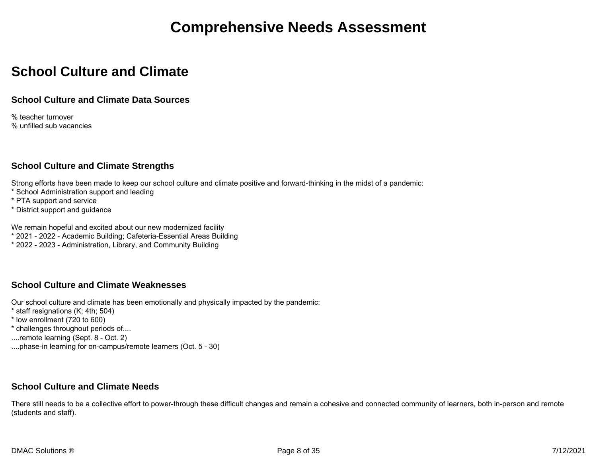### **School Culture and Climate**

#### **School Culture and Climate Data Sources**

% teacher turnover % unfilled sub vacancies

#### **School Culture and Climate Strengths**

Strong efforts have been made to keep our school culture and climate positive and forward-thinking in the midst of a pandemic:

- \* School Administration support and leading
- \* PTA support and service
- \* District support and guidance

We remain hopeful and excited about our new modernized facility

- \* 2021 2022 Academic Building; Cafeteria-Essential Areas Building
- \* 2022 2023 Administration, Library, and Community Building

#### **School Culture and Climate Weaknesses**

Our school culture and climate has been emotionally and physically impacted by the pandemic:

- \* staff resignations (K; 4th; 504)
- \* low enrollment (720 to 600)
- \* challenges throughout periods of....
- ....remote learning (Sept. 8 Oct. 2)
- ....phase-in learning for on-campus/remote learners (Oct. 5 30)

#### **School Culture and Climate Needs**

There still needs to be a collective effort to power-through these difficult changes and remain a cohesive and connected community of learners, both in-person and remote (students and staff).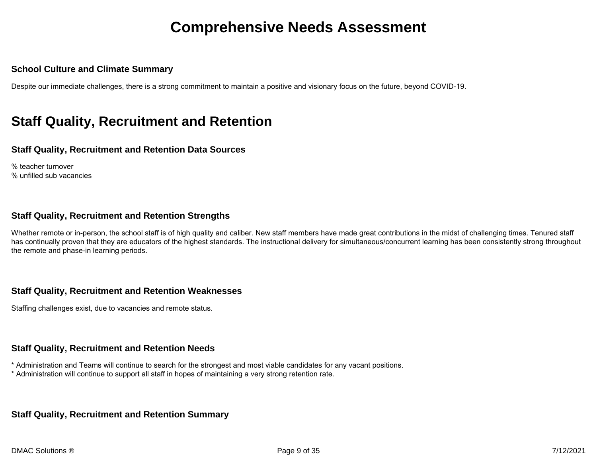#### **School Culture and Climate Summary**

Despite our immediate challenges, there is a strong commitment to maintain a positive and visionary focus on the future, beyond COVID-19.

### **Staff Quality, Recruitment and Retention**

#### **Staff Quality, Recruitment and Retention Data Sources**

% teacher turnover % unfilled sub vacancies

#### **Staff Quality, Recruitment and Retention Strengths**

Whether remote or in-person, the school staff is of high quality and caliber. New staff members have made great contributions in the midst of challenging times. Tenured staff has continually proven that they are educators of the highest standards. The instructional delivery for simultaneous/concurrent learning has been consistently strong throughout the remote and phase-in learning periods.

#### **Staff Quality, Recruitment and Retention Weaknesses**

Staffing challenges exist, due to vacancies and remote status.

#### **Staff Quality, Recruitment and Retention Needs**

\* Administration and Teams will continue to search for the strongest and most viable candidates for any vacant positions.

\* Administration will continue to support all staff in hopes of maintaining a very strong retention rate.

#### **Staff Quality, Recruitment and Retention Summary**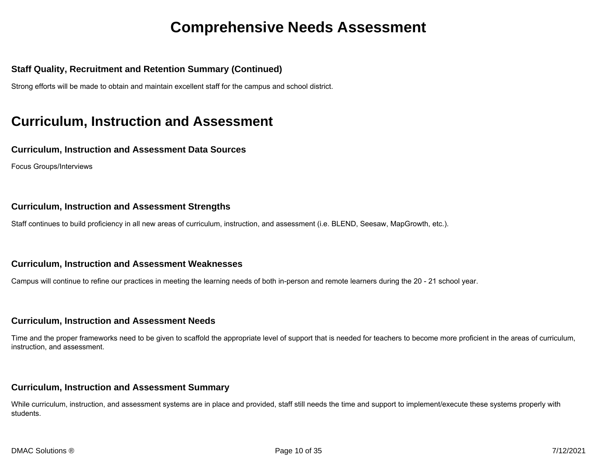#### **Staff Quality, Recruitment and Retention Summary (Continued)**

Strong efforts will be made to obtain and maintain excellent staff for the campus and school district.

### **Curriculum, Instruction and Assessment**

#### **Curriculum, Instruction and Assessment Data Sources**

Focus Groups/Interviews

#### **Curriculum, Instruction and Assessment Strengths**

Staff continues to build proficiency in all new areas of curriculum, instruction, and assessment (i.e. BLEND, Seesaw, MapGrowth, etc.).

#### **Curriculum, Instruction and Assessment Weaknesses**

Campus will continue to refine our practices in meeting the learning needs of both in-person and remote learners during the 20 - 21 school year.

#### **Curriculum, Instruction and Assessment Needs**

Time and the proper frameworks need to be given to scaffold the appropriate level of support that is needed for teachers to become more proficient in the areas of curriculum, instruction, and assessment.

#### **Curriculum, Instruction and Assessment Summary**

While curriculum, instruction, and assessment systems are in place and provided, staff still needs the time and support to implement/execute these systems properly with students.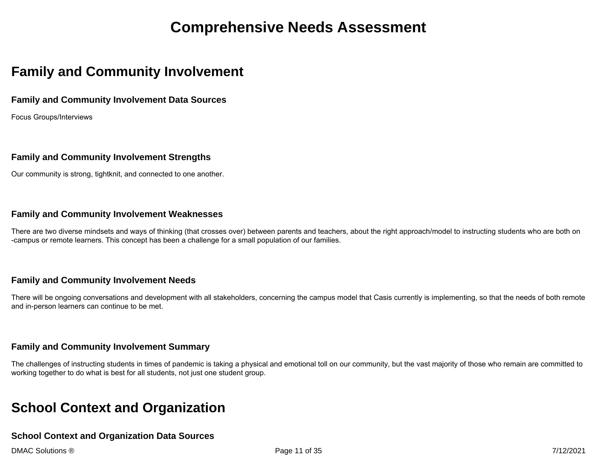### **Family and Community Involvement**

#### **Family and Community Involvement Data Sources**

Focus Groups/Interviews

#### **Family and Community Involvement Strengths**

Our community is strong, tightknit, and connected to one another.

#### **Family and Community Involvement Weaknesses**

There are two diverse mindsets and ways of thinking (that crosses over) between parents and teachers, about the right approach/model to instructing students who are both on -campus or remote learners. This concept has been a challenge for a small population of our families.

#### **Family and Community Involvement Needs**

There will be ongoing conversations and development with all stakeholders, concerning the campus model that Casis currently is implementing, so that the needs of both remote and in-person learners can continue to be met.

#### **Family and Community Involvement Summary**

The challenges of instructing students in times of pandemic is taking a physical and emotional toll on our community, but the vast majority of those who remain are committed to working together to do what is best for all students, not just one student group.

### **School Context and Organization**

#### **School Context and Organization Data Sources**

DMAC Solutions ® Page 11 of 35 7/12/2021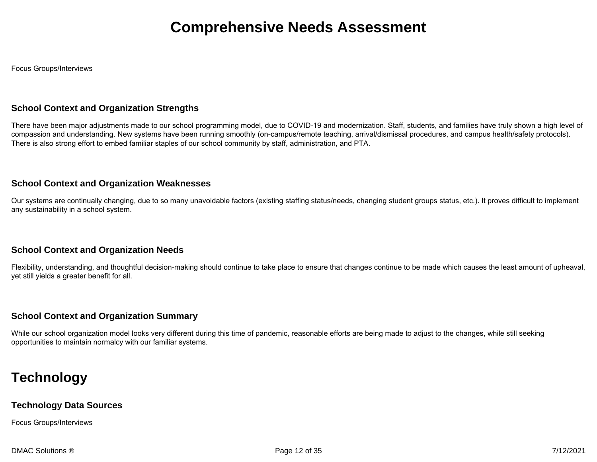Focus Groups/Interviews

#### **School Context and Organization Strengths**

There have been major adjustments made to our school programming model, due to COVID-19 and modernization. Staff, students, and families have truly shown a high level of compassion and understanding. New systems have been running smoothly (on-campus/remote teaching, arrival/dismissal procedures, and campus health/safety protocols). There is also strong effort to embed familiar staples of our school community by staff, administration, and PTA.

#### **School Context and Organization Weaknesses**

Our systems are continually changing, due to so many unavoidable factors (existing staffing status/needs, changing student groups status, etc.). It proves difficult to implement any sustainability in a school system.

#### **School Context and Organization Needs**

Flexibility, understanding, and thoughtful decision-making should continue to take place to ensure that changes continue to be made which causes the least amount of upheaval, yet still yields a greater benefit for all.

#### **School Context and Organization Summary**

While our school organization model looks very different during this time of pandemic, reasonable efforts are being made to adjust to the changes, while still seeking opportunities to maintain normalcy with our familiar systems.

### **Technology**

#### **Technology Data Sources**

Focus Groups/Interviews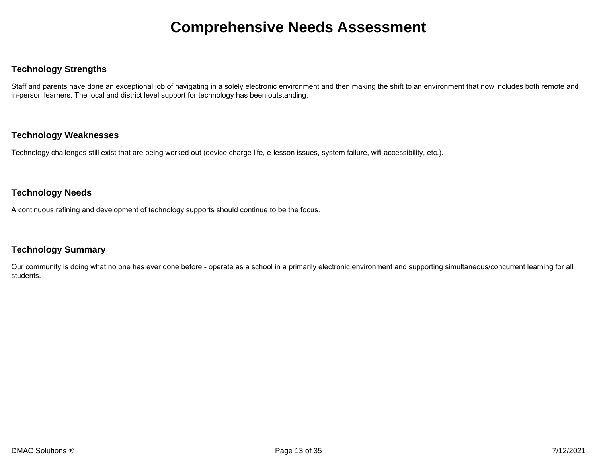#### **Technology Strengths**

Staff and parents have done an exceptional job of navigating in a solely electronic environment and then making the shift to an environment that now includes both remote and in-person learners. The local and district level support for technology has been outstanding.

#### **Technology Weaknesses**

Technology challenges still exist that are being worked out (device charge life, e-lesson issues, system failure, wifi accessibility, etc.).

#### **Technology Needs**

A continuous refining and development of technology supports should continue to be the focus.

#### **Technology Summary**

Our community is doing what no one has ever done before - operate as a school in a primarily electronic environment and supporting simultaneous/concurrent learning for all students.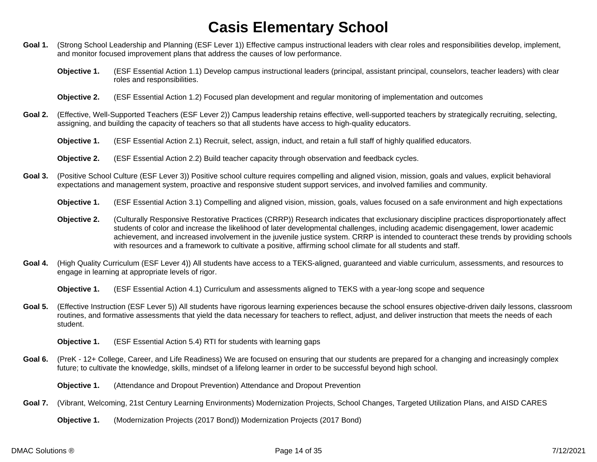- Goal 1. (Strong School Leadership and Planning (ESF Lever 1)) Effective campus instructional leaders with clear roles and responsibilities develop, implement, and monitor focused improvement plans that address the causes of low performance.
	- **Objective 1.** (ESF Essential Action 1.1) Develop campus instructional leaders (principal, assistant principal, counselors, teacher leaders) with clear roles and responsibilities.
	- **Objective 2.** (ESF Essential Action 1.2) Focused plan development and regular monitoring of implementation and outcomes
- **Goal 2.** (Effective, Well-Supported Teachers (ESF Lever 2)) Campus leadership retains effective, well-supported teachers by strategically recruiting, selecting, assigning, and building the capacity of teachers so that all students have access to high-quality educators.
	- **Objective 1.** (ESF Essential Action 2.1) Recruit, select, assign, induct, and retain a full staff of highly qualified educators.
	- **Objective 2.** (ESF Essential Action 2.2) Build teacher capacity through observation and feedback cycles.
- **Goal 3.** (Positive School Culture (ESF Lever 3)) Positive school culture requires compelling and aligned vision, mission, goals and values, explicit behavioral expectations and management system, proactive and responsive student support services, and involved families and community.
	- **Objective 1.** (ESF Essential Action 3.1) Compelling and aligned vision, mission, goals, values focused on a safe environment and high expectations
	- **Objective 2.** (Culturally Responsive Restorative Practices (CRRP)) Research indicates that exclusionary discipline practices disproportionately affect students of color and increase the likelihood of later developmental challenges, including academic disengagement, lower academic achievement, and increased involvement in the juvenile justice system. CRRP is intended to counteract these trends by providing schools with resources and a framework to cultivate a positive, affirming school climate for all students and staff.
- **Goal 4.** (High Quality Curriculum (ESF Lever 4)) All students have access to a TEKS-aligned, guaranteed and viable curriculum, assessments, and resources to engage in learning at appropriate levels of rigor.

**Objective 1.** (ESF Essential Action 4.1) Curriculum and assessments aligned to TEKS with a year-long scope and sequence

- Goal 5. (Effective Instruction (ESF Lever 5)) All students have rigorous learning experiences because the school ensures objective-driven daily lessons, classroom routines, and formative assessments that yield the data necessary for teachers to reflect, adjust, and deliver instruction that meets the needs of each student.
	- **Objective 1.** (ESF Essential Action 5.4) RTI for students with learning gaps
- **Goal 6.** (PreK 12+ College, Career, and Life Readiness) We are focused on ensuring that our students are prepared for a changing and increasingly complex future; to cultivate the knowledge, skills, mindset of a lifelong learner in order to be successful beyond high school.
	- **Objective 1.** (Attendance and Dropout Prevention) Attendance and Dropout Prevention
- **Goal 7.** (Vibrant, Welcoming, 21st Century Learning Environments) Modernization Projects, School Changes, Targeted Utilization Plans, and AISD CARES
	- **Objective 1.** (Modernization Projects (2017 Bond)) Modernization Projects (2017 Bond)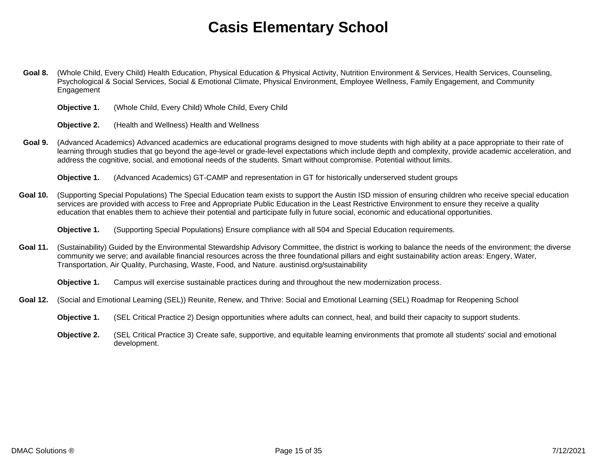- **Goal 8.** (Whole Child, Every Child) Health Education, Physical Education & Physical Activity, Nutrition Environment & Services, Health Services, Counseling, Psychological & Social Services, Social & Emotional Climate, Physical Environment, Employee Wellness, Family Engagement, and Community Engagement
	- **Objective 1.** (Whole Child, Every Child) Whole Child, Every Child

**Objective 2.** (Health and Wellness) Health and Wellness

- Goal 9. (Advanced Academics) Advanced academics are educational programs designed to move students with high ability at a pace appropriate to their rate of learning through studies that go beyond the age-level or grade-level expectations which include depth and complexity, provide academic acceleration, and address the cognitive, social, and emotional needs of the students. Smart without compromise. Potential without limits.
	- **Objective 1.** (Advanced Academics) GT-CAMP and representation in GT for historically underserved student groups
- **Goal 10.** (Supporting Special Populations) The Special Education team exists to support the Austin ISD mission of ensuring children who receive special education services are provided with access to Free and Appropriate Public Education in the Least Restrictive Environment to ensure they receive a quality education that enables them to achieve their potential and participate fully in future social, economic and educational opportunities.

**Objective 1.** (Supporting Special Populations) Ensure compliance with all 504 and Special Education requirements.

Goal 11. (Sustainability) Guided by the Environmental Stewardship Advisory Committee, the district is working to balance the needs of the environment; the diverse community we serve; and available financial resources across the three foundational pillars and eight sustainability action areas: Engery, Water, Transportation, Air Quality, Purchasing, Waste, Food, and Nature. austinisd.org/sustainability

**Objective 1.** Campus will exercise sustainable practices during and throughout the new modernization process.

- **Goal 12.** (Social and Emotional Learning (SEL)) Reunite, Renew, and Thrive: Social and Emotional Learning (SEL) Roadmap for Reopening School
	- **Objective 1.** (SEL Critical Practice 2) Design opportunities where adults can connect, heal, and build their capacity to support students.
	- **Objective 2.** (SEL Critical Practice 3) Create safe, supportive, and equitable learning environments that promote all students' social and emotional development.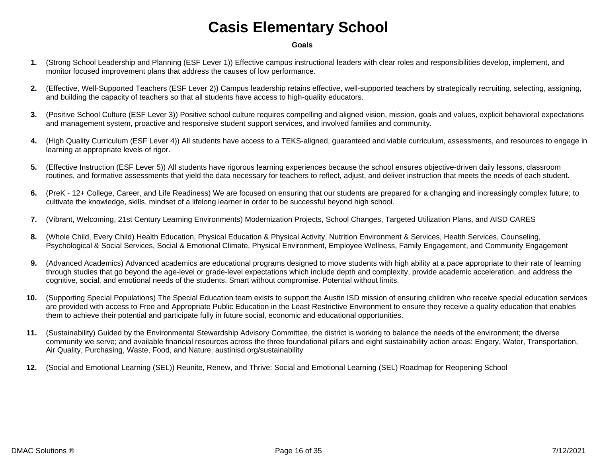#### **Goals**

- **1.** (Strong School Leadership and Planning (ESF Lever 1)) Effective campus instructional leaders with clear roles and responsibilities develop, implement, and monitor focused improvement plans that address the causes of low performance.
- **2.** (Effective, Well-Supported Teachers (ESF Lever 2)) Campus leadership retains effective, well-supported teachers by strategically recruiting, selecting, assigning, and building the capacity of teachers so that all students have access to high-quality educators.
- **3.** (Positive School Culture (ESF Lever 3)) Positive school culture requires compelling and aligned vision, mission, goals and values, explicit behavioral expectations and management system, proactive and responsive student support services, and involved families and community.
- **4.** (High Quality Curriculum (ESF Lever 4)) All students have access to a TEKS-aligned, guaranteed and viable curriculum, assessments, and resources to engage in learning at appropriate levels of rigor.
- **5.** (Effective Instruction (ESF Lever 5)) All students have rigorous learning experiences because the school ensures objective-driven daily lessons, classroom routines, and formative assessments that yield the data necessary for teachers to reflect, adjust, and deliver instruction that meets the needs of each student.
- **6.** (PreK 12+ College, Career, and Life Readiness) We are focused on ensuring that our students are prepared for a changing and increasingly complex future; to cultivate the knowledge, skills, mindset of a lifelong learner in order to be successful beyond high school.
- **7.** (Vibrant, Welcoming, 21st Century Learning Environments) Modernization Projects, School Changes, Targeted Utilization Plans, and AISD CARES
- **8.** (Whole Child, Every Child) Health Education, Physical Education & Physical Activity, Nutrition Environment & Services, Health Services, Counseling, Psychological & Social Services, Social & Emotional Climate, Physical Environment, Employee Wellness, Family Engagement, and Community Engagement
- **9.** (Advanced Academics) Advanced academics are educational programs designed to move students with high ability at a pace appropriate to their rate of learning through studies that go beyond the age-level or grade-level expectations which include depth and complexity, provide academic acceleration, and address the cognitive, social, and emotional needs of the students. Smart without compromise. Potential without limits.
- **10.** (Supporting Special Populations) The Special Education team exists to support the Austin ISD mission of ensuring children who receive special education services are provided with access to Free and Appropriate Public Education in the Least Restrictive Environment to ensure they receive a quality education that enables them to achieve their potential and participate fully in future social, economic and educational opportunities.
- **11.** (Sustainability) Guided by the Environmental Stewardship Advisory Committee, the district is working to balance the needs of the environment; the diverse community we serve; and available financial resources across the three foundational pillars and eight sustainability action areas: Engery, Water, Transportation, Air Quality, Purchasing, Waste, Food, and Nature. austinisd.org/sustainability
- **12.** (Social and Emotional Learning (SEL)) Reunite, Renew, and Thrive: Social and Emotional Learning (SEL) Roadmap for Reopening School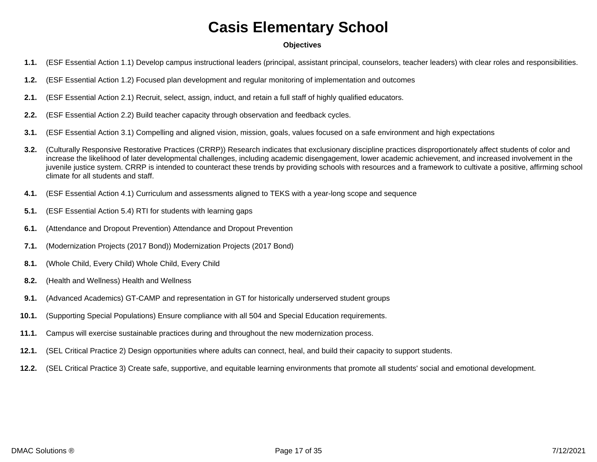#### **Objectives**

- **1.1.** (ESF Essential Action 1.1) Develop campus instructional leaders (principal, assistant principal, counselors, teacher leaders) with clear roles and responsibilities.
- **1.2.** (ESF Essential Action 1.2) Focused plan development and regular monitoring of implementation and outcomes
- **2.1.** (ESF Essential Action 2.1) Recruit, select, assign, induct, and retain a full staff of highly qualified educators.
- **2.2.** (ESF Essential Action 2.2) Build teacher capacity through observation and feedback cycles.
- **3.1.** (ESF Essential Action 3.1) Compelling and aligned vision, mission, goals, values focused on a safe environment and high expectations
- **3.2.** (Culturally Responsive Restorative Practices (CRRP)) Research indicates that exclusionary discipline practices disproportionately affect students of color and increase the likelihood of later developmental challenges, including academic disengagement, lower academic achievement, and increased involvement in the juvenile justice system. CRRP is intended to counteract these trends by providing schools with resources and a framework to cultivate a positive, affirming school climate for all students and staff.
- **4.1.** (ESF Essential Action 4.1) Curriculum and assessments aligned to TEKS with a year-long scope and sequence
- **5.1.** (ESF Essential Action 5.4) RTI for students with learning gaps
- **6.1.** (Attendance and Dropout Prevention) Attendance and Dropout Prevention
- **7.1.** (Modernization Projects (2017 Bond)) Modernization Projects (2017 Bond)
- **8.1.** (Whole Child, Every Child) Whole Child, Every Child
- **8.2.** (Health and Wellness) Health and Wellness
- **9.1.** (Advanced Academics) GT-CAMP and representation in GT for historically underserved student groups
- **10.1.** (Supporting Special Populations) Ensure compliance with all 504 and Special Education requirements.
- **11.1.** Campus will exercise sustainable practices during and throughout the new modernization process.
- **12.1.** (SEL Critical Practice 2) Design opportunities where adults can connect, heal, and build their capacity to support students.
- **12.2.** (SEL Critical Practice 3) Create safe, supportive, and equitable learning environments that promote all students' social and emotional development.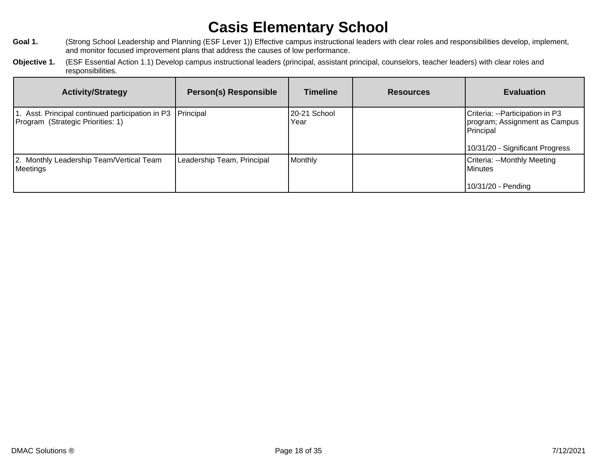- Goal 1. (Strong School Leadership and Planning (ESF Lever 1)) Effective campus instructional leaders with clear roles and responsibilities develop, implement, and monitor focused improvement plans that address the causes of low performance.
- **Objective 1.** (ESF Essential Action 1.1) Develop campus instructional leaders (principal, assistant principal, counselors, teacher leaders) with clear roles and responsibilities.

| <b>Activity/Strategy</b>                                                                        | <b>Person(s) Responsible</b> | <b>Timeline</b>      | <b>Resources</b> | <b>Evaluation</b>                                                                                                |
|-------------------------------------------------------------------------------------------------|------------------------------|----------------------|------------------|------------------------------------------------------------------------------------------------------------------|
| 1. Asst. Principal continued participation in P3 Principal<br>Program (Strategic Priorities: 1) |                              | 20-21 School<br>Year |                  | Criteria: --Participation in P3<br>program; Assignment as Campus<br>Principal<br>10/31/20 - Significant Progress |
| 2. Monthly Leadership Team/Vertical Team<br>Meetings                                            | Leadership Team, Principal   | Monthly              |                  | Criteria: --Monthly Meeting<br>l Minutes<br>10/31/20 - Pending                                                   |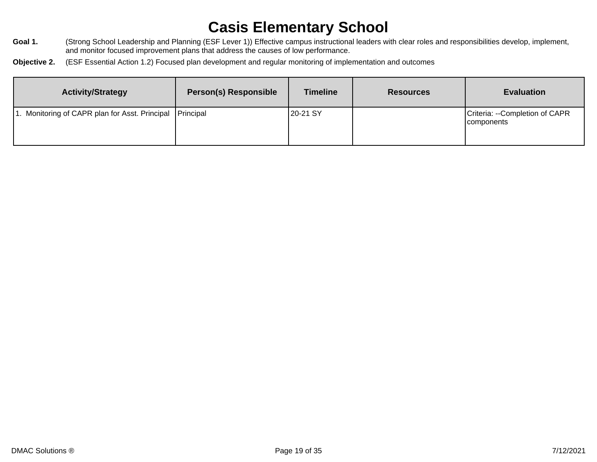- Goal 1. (Strong School Leadership and Planning (ESF Lever 1)) Effective campus instructional leaders with clear roles and responsibilities develop, implement, and monitor focused improvement plans that address the causes of low performance.
- **Objective 2.** (ESF Essential Action 1.2) Focused plan development and regular monitoring of implementation and outcomes

| <b>Activity/Strategy</b>                                   | <b>Person(s) Responsible</b> | <b>Timeline</b> | <b>Resources</b> | <b>Evaluation</b>                                   |
|------------------------------------------------------------|------------------------------|-----------------|------------------|-----------------------------------------------------|
| 1. Monitoring of CAPR plan for Asst. Principal   Principal |                              | 20-21 SY        |                  | Criteria: --Completion of CAPR<br><i>components</i> |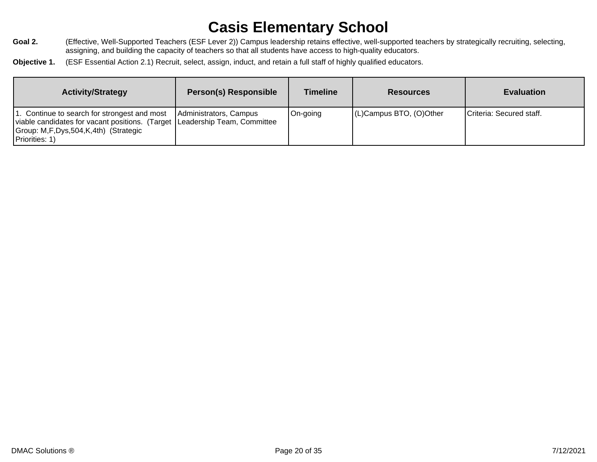- Goal 2. **Frankler Coalce Teachers (ESF Lever 2))** Campus leadership retains effective, well-supported teachers by strategically recruiting, selecting, assigning, and building the capacity of teachers so that all students have access to high-quality educators.
- **Objective 1.** (ESF Essential Action 2.1) Recruit, select, assign, induct, and retain a full staff of highly qualified educators.

| <b>Activity/Strategy</b>                                                                                                                                                                | <b>Person(s) Responsible</b> | Timeline | <b>Resources</b>        | <b>Evaluation</b>        |
|-----------------------------------------------------------------------------------------------------------------------------------------------------------------------------------------|------------------------------|----------|-------------------------|--------------------------|
| 1. Continue to search for strongest and most<br> viable candidates for vacant positions. (Target   Leadership Team, Committee<br>Group: M,F,Dys,504,K,4th) (Strategic<br>Priorities: 1) | Administrators, Campus       | On-going | (L)Campus BTO, (O)Other | Criteria: Secured staff. |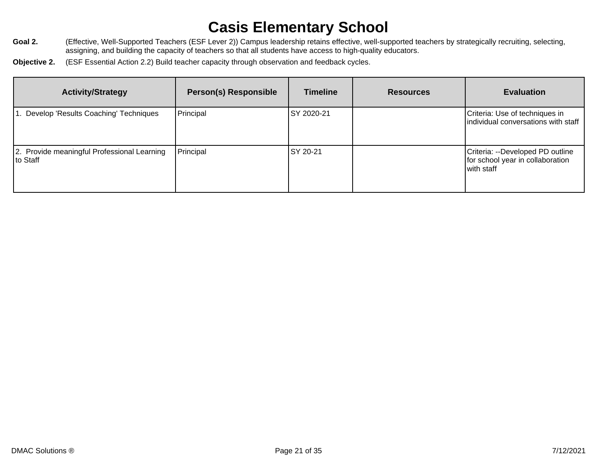- Goal 2. **Frankler Coalce Teachers (ESF Lever 2))** Campus leadership retains effective, well-supported teachers by strategically recruiting, selecting, assigning, and building the capacity of teachers so that all students have access to high-quality educators.
- **Objective 2.** (ESF Essential Action 2.2) Build teacher capacity through observation and feedback cycles.

| <b>Activity/Strategy</b>                                 | <b>Person(s) Responsible</b> | <b>Timeline</b> | <b>Resources</b> | <b>Evaluation</b>                                                                  |
|----------------------------------------------------------|------------------------------|-----------------|------------------|------------------------------------------------------------------------------------|
| . Develop 'Results Coaching' Techniques                  | Principal                    | ISY 2020-21     |                  | Criteria: Use of techniques in<br>individual conversations with staff              |
| 2. Provide meaningful Professional Learning<br>∣to Staff | Principal                    | SY 20-21        |                  | Criteria: --Developed PD outline<br>for school year in collaboration<br>with staff |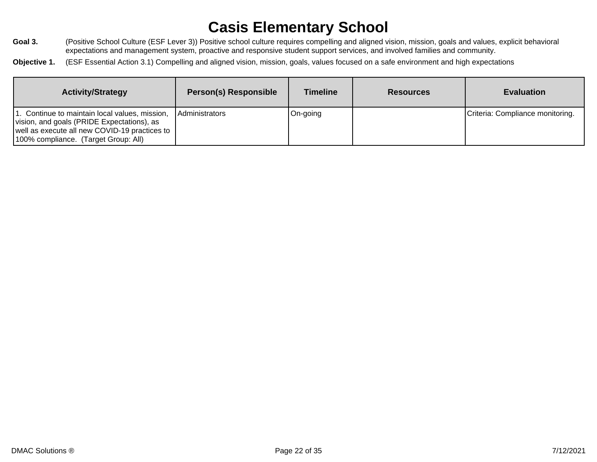- Goal 3. **From Act as Constant** (Positive School Culture (ESF Lever 3)) Positive school culture requires compelling and aligned vision, mission, goals and values, explicit behavioral expectations and management system, proactive and responsive student support services, and involved families and community.
- **Objective 1.** (ESF Essential Action 3.1) Compelling and aligned vision, mission, goals, values focused on a safe environment and high expectations

| <b>Activity/Strategy</b>                                                                                                                                                              | <b>Person(s) Responsible</b> | <b>Timeline</b> | <b>Resources</b> | <b>Evaluation</b>                |
|---------------------------------------------------------------------------------------------------------------------------------------------------------------------------------------|------------------------------|-----------------|------------------|----------------------------------|
| I. Continue to maintain local values, mission,<br>vision, and goals (PRIDE Expectations), as<br>well as execute all new COVID-19 practices to<br>100% compliance. (Target Group: All) | Administrators               | On-going        |                  | Criteria: Compliance monitoring. |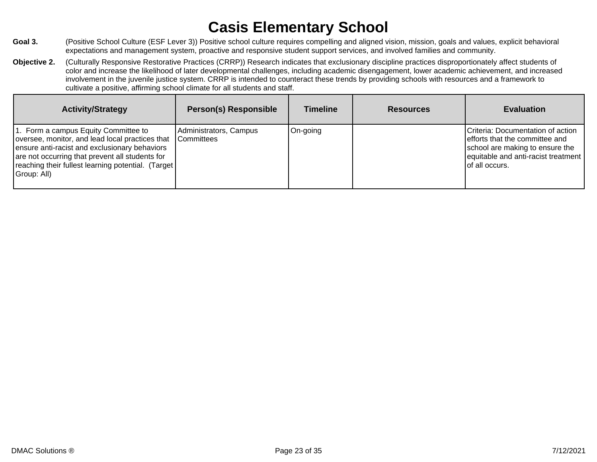- Goal 3. **Combin 1** (Positive School Culture (ESF Lever 3)) Positive school culture requires compelling and aligned vision, mission, goals and values, explicit behavioral expectations and management system, proactive and responsive student support services, and involved families and community.
- **Objective 2.** (Culturally Responsive Restorative Practices (CRRP)) Research indicates that exclusionary discipline practices disproportionately affect students of color and increase the likelihood of later developmental challenges, including academic disengagement, lower academic achievement, and increased involvement in the juvenile justice system. CRRP is intended to counteract these trends by providing schools with resources and a framework to cultivate a positive, affirming school climate for all students and staff.

| <b>Activity/Strategy</b>                                                                                                                                                                                                                                          | <b>Person(s) Responsible</b>         | <b>Timeline</b> | <b>Resources</b> | <b>Evaluation</b>                                                                                                                                               |
|-------------------------------------------------------------------------------------------------------------------------------------------------------------------------------------------------------------------------------------------------------------------|--------------------------------------|-----------------|------------------|-----------------------------------------------------------------------------------------------------------------------------------------------------------------|
| 1. Form a campus Equity Committee to<br>oversee, monitor, and lead local practices that<br>ensure anti-racist and exclusionary behaviors<br>are not occurring that prevent all students for<br>reaching their fullest learning potential. (Target)<br>Group: All) | Administrators, Campus<br>Committees | On-going        |                  | Criteria: Documentation of action<br>efforts that the committee and<br>school are making to ensure the<br>equitable and anti-racist treatment<br>of all occurs. |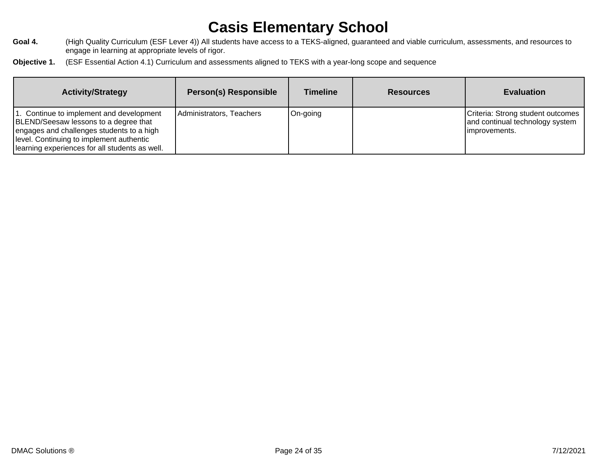- Goal 4. (High Quality Curriculum (ESF Lever 4)) All students have access to a TEKS-aligned, guaranteed and viable curriculum, assessments, and resources to engage in learning at appropriate levels of rigor.
- **Objective 1.** (ESF Essential Action 4.1) Curriculum and assessments aligned to TEKS with a year-long scope and sequence

| <b>Activity/Strategy</b>                                                                                                                                                                                                     | <b>Person(s) Responsible</b> | Timeline | <b>Resources</b> | <b>Evaluation</b>                                                                      |
|------------------------------------------------------------------------------------------------------------------------------------------------------------------------------------------------------------------------------|------------------------------|----------|------------------|----------------------------------------------------------------------------------------|
| 1. Continue to implement and development<br>BLEND/Seesaw lessons to a degree that<br>engages and challenges students to a high<br>Ievel. Continuing to implement authentic<br>learning experiences for all students as well. | Administrators, Teachers     | On-going |                  | Criteria: Strong student outcomes<br>and continual technology system<br>limprovements. |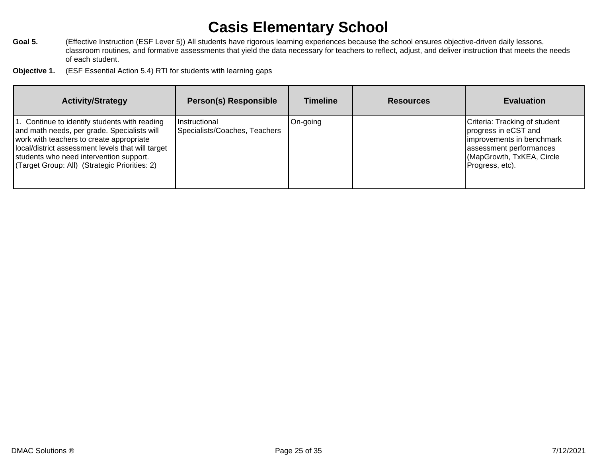- Goal 5. **Figure 1** (Effective Instruction (ESF Lever 5)) All students have rigorous learning experiences because the school ensures objective-driven daily lessons, classroom routines, and formative assessments that yield the data necessary for teachers to reflect, adjust, and deliver instruction that meets the needs of each student.
- **Objective 1.** (ESF Essential Action 5.4) RTI for students with learning gaps

| <b>Activity/Strategy</b>                                                                                                                                                                                                                                                                  | <b>Person(s) Responsible</b>                   | <b>Timeline</b> | <b>Resources</b> | <b>Evaluation</b>                                                                                                                                             |
|-------------------------------------------------------------------------------------------------------------------------------------------------------------------------------------------------------------------------------------------------------------------------------------------|------------------------------------------------|-----------------|------------------|---------------------------------------------------------------------------------------------------------------------------------------------------------------|
| 1. Continue to identify students with reading<br>and math needs, per grade. Specialists will<br>work with teachers to create appropriate<br>local/district assessment levels that will target<br>students who need intervention support.<br>(Target Group: All) (Strategic Priorities: 2) | Instructional<br>Specialists/Coaches, Teachers | On-going        |                  | Criteria: Tracking of student<br>progress in eCST and<br>improvements in benchmark<br>assessment performances<br>(MapGrowth, TxKEA, Circle<br>Progress, etc). |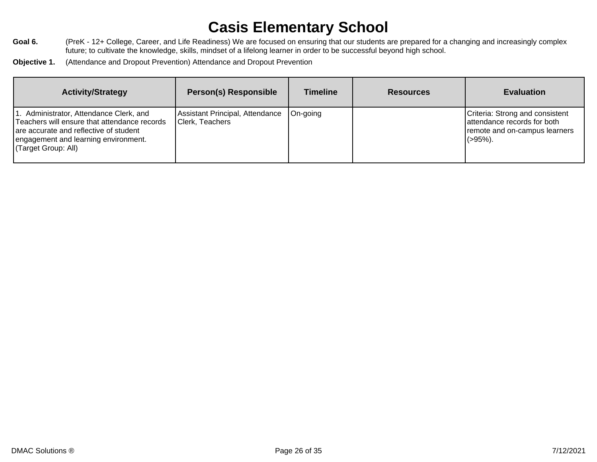- Goal 6. **Figure 12+ College, Career, and Life Readiness)** We are focused on ensuring that our students are prepared for a changing and increasingly complex future; to cultivate the knowledge, skills, mindset of a lifelong learner in order to be successful beyond high school.
- **Objective 1.** (Attendance and Dropout Prevention) Attendance and Dropout Prevention

| <b>Activity/Strategy</b>                                                                                                                                                                         | <b>Person(s) Responsible</b>                       | <b>Timeline</b> | <b>Resources</b> | <b>Evaluation</b>                                                                                            |
|--------------------------------------------------------------------------------------------------------------------------------------------------------------------------------------------------|----------------------------------------------------|-----------------|------------------|--------------------------------------------------------------------------------------------------------------|
| I. Administrator, Attendance Clerk, and<br>Teachers will ensure that attendance records<br>are accurate and reflective of student<br>engagement and learning environment.<br>(Target Group: All) | Assistant Principal, Attendance<br>Clerk, Teachers | On-going        |                  | Criteria: Strong and consistent<br>lattendance records for both<br>remote and on-campus learners<br>l(>95%). |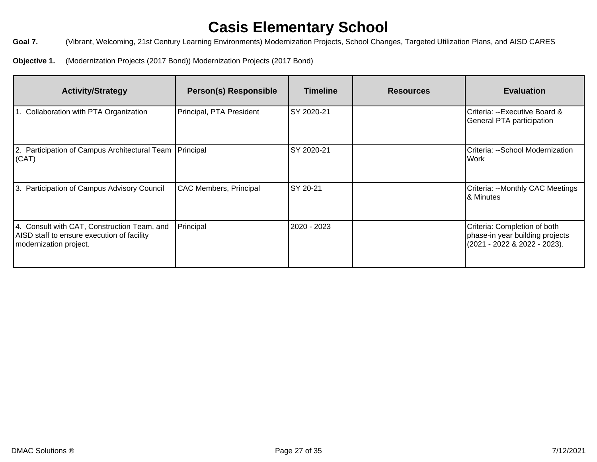Goal 7. **Coal 7.** (Vibrant, Welcoming, 21st Century Learning Environments) Modernization Projects, School Changes, Targeted Utilization Plans, and AISD CARES

**Objective 1.** (Modernization Projects (2017 Bond)) Modernization Projects (2017 Bond)

| <b>Activity/Strategy</b>                                                                                            | <b>Person(s) Responsible</b>  | <b>Timeline</b> | <b>Resources</b> | <b>Evaluation</b>                                                                               |
|---------------------------------------------------------------------------------------------------------------------|-------------------------------|-----------------|------------------|-------------------------------------------------------------------------------------------------|
| 1. Collaboration with PTA Organization                                                                              | Principal, PTA President      | SY 2020-21      |                  | Criteria: --Executive Board &<br>General PTA participation                                      |
| 2. Participation of Campus Architectural Team   Principal<br>(CAT)                                                  |                               | SY 2020-21      |                  | Criteria: --School Modernization<br>l Work                                                      |
| 3. Participation of Campus Advisory Council                                                                         | <b>CAC Members, Principal</b> | SY 20-21        |                  | Criteria: --Monthly CAC Meetings<br>8. Minutes                                                  |
| 4. Consult with CAT, Construction Team, and<br>AISD staff to ensure execution of facility<br>modernization project. | Principal                     | 2020 - 2023     |                  | Criteria: Completion of both<br>phase-in year building projects<br>(2021 - 2022 & 2022 - 2023). |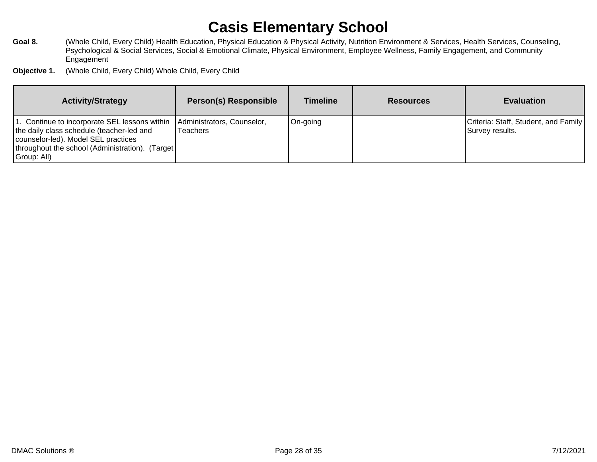- Goal 8. **Mullar 20 and 10 Audio Child, Every Child) Health Education, Physical Education & Physical Activity, Nutrition Environment & Services, Health Services, Counseling,** Psychological & Social Services, Social & Emotional Climate, Physical Environment, Employee Wellness, Family Engagement, and Community Engagement
- **Objective 1.** (Whole Child, Every Child) Whole Child, Every Child

| <b>Activity/Strategy</b>                                                                                                                                                                               | <b>Person(s) Responsible</b>                  | <b>Timeline</b> | <b>Resources</b> | <b>Evaluation</b>                                       |
|--------------------------------------------------------------------------------------------------------------------------------------------------------------------------------------------------------|-----------------------------------------------|-----------------|------------------|---------------------------------------------------------|
| 11. Continue to incorporate SEL lessons within<br>the daily class schedule (teacher-led and<br>counselor-led). Model SEL practices<br>[throughout the school (Administration). (Target]<br>Group: All) | Administrators, Counselor,<br><b>Teachers</b> | On-going        |                  | Criteria: Staff, Student, and Family<br>Survey results. |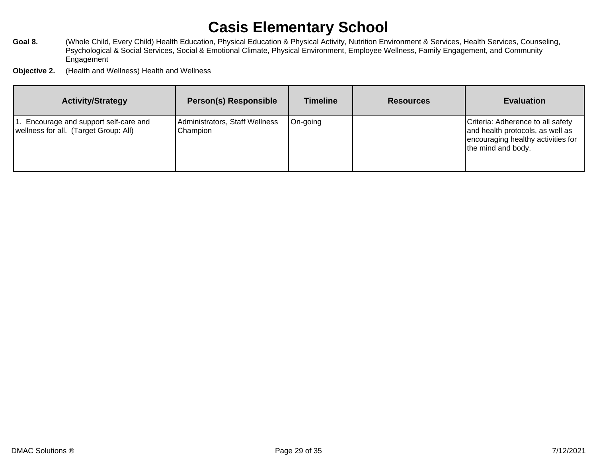- Goal 8. **Mullar 20 and 10 Audio Child, Every Child) Health Education, Physical Education & Physical Activity, Nutrition Environment & Services, Health Services, Counseling,** Psychological & Social Services, Social & Emotional Climate, Physical Environment, Employee Wellness, Family Engagement, and Community **Engagement**
- **Objective 2.** (Health and Wellness) Health and Wellness

| <b>Activity/Strategy</b>                                                        | <b>Person(s) Responsible</b>               | <b>Timeline</b> | <b>Resources</b> | <b>Evaluation</b>                                                                                                                 |
|---------------------------------------------------------------------------------|--------------------------------------------|-----------------|------------------|-----------------------------------------------------------------------------------------------------------------------------------|
| 1. Encourage and support self-care and<br>wellness for all. (Target Group: All) | Administrators, Staff Wellness<br>Champion | On-going        |                  | Criteria: Adherence to all safety<br>and health protocols, as well as<br>encouraging healthy activities for<br>the mind and body. |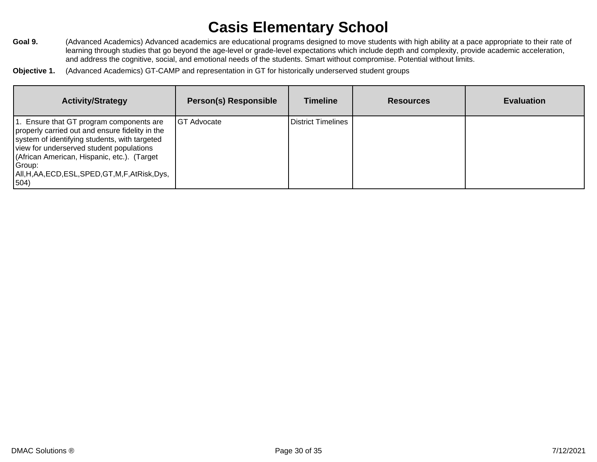- Goal 9. **Advanced Academics) Advanced academics are educational programs designed to move students with high ability at a pace appropriate to their rate of** learning through studies that go beyond the age-level or grade-level expectations which include depth and complexity, provide academic acceleration, and address the cognitive, social, and emotional needs of the students. Smart without compromise. Potential without limits.
- **Objective 1.** (Advanced Academics) GT-CAMP and representation in GT for historically underserved student groups

| <b>Activity/Strategy</b>                                                                                                                                                                                                                                                                                         | <b>Person(s) Responsible</b> | <b>Timeline</b>           | <b>Resources</b> | <b>Evaluation</b> |
|------------------------------------------------------------------------------------------------------------------------------------------------------------------------------------------------------------------------------------------------------------------------------------------------------------------|------------------------------|---------------------------|------------------|-------------------|
| 1. Ensure that GT program components are<br>properly carried out and ensure fidelity in the<br>system of identifying students, with targeted<br>view for underserved student populations<br>(African American, Hispanic, etc.). (Target<br>Group:<br>All, H, AA, ECD, ESL, SPED, GT, M, F, AtRisk, Dys,<br> 504) | <b>GT Advocate</b>           | <b>District Timelines</b> |                  |                   |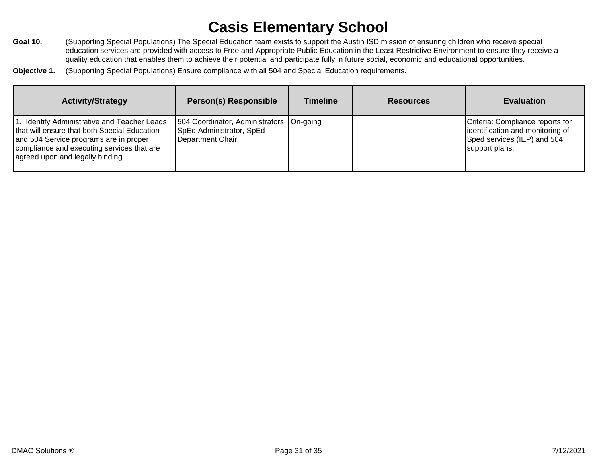- Goal 10. (Supporting Special Populations) The Special Education team exists to support the Austin ISD mission of ensuring children who receive special education services are provided with access to Free and Appropriate Public Education in the Least Restrictive Environment to ensure they receive a quality education that enables them to achieve their potential and participate fully in future social, economic and educational opportunities.
- **Objective 1.** (Supporting Special Populations) Ensure compliance with all 504 and Special Education requirements.

| <b>Activity/Strategy</b>                                                                                                                                                                                                 | <b>Person(s) Responsible</b>                                                              | <b>Timeline</b> | <b>Resources</b> | <b>Evaluation</b>                                                                                                     |
|--------------------------------------------------------------------------------------------------------------------------------------------------------------------------------------------------------------------------|-------------------------------------------------------------------------------------------|-----------------|------------------|-----------------------------------------------------------------------------------------------------------------------|
| I. Identify Administrative and Teacher Leads<br>that will ensure that both Special Education<br>and 504 Service programs are in proper<br>compliance and executing services that are<br>agreed upon and legally binding. | 504 Coordinator, Administrators, On-going<br>SpEd Administrator, SpEd<br>Department Chair |                 |                  | Criteria: Compliance reports for<br>identification and monitoring of<br>Sped services (IEP) and 504<br>support plans. |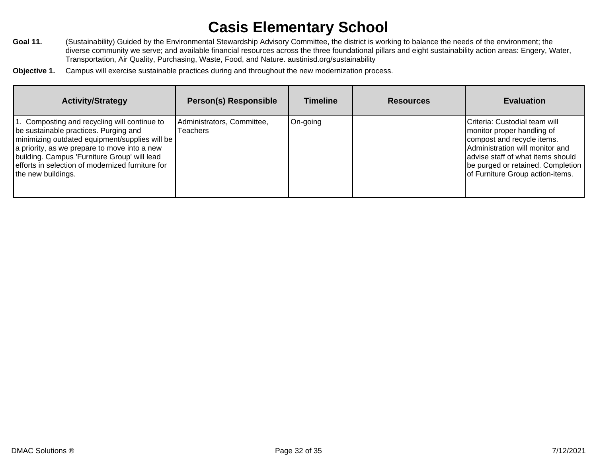- Goal 11. (Sustainability) Guided by the Environmental Stewardship Advisory Committee, the district is working to balance the needs of the environment; the diverse community we serve; and available financial resources across the three foundational pillars and eight sustainability action areas: Engery, Water, Transportation, Air Quality, Purchasing, Waste, Food, and Nature. austinisd.org/sustainability
- **Objective 1.** Campus will exercise sustainable practices during and throughout the new modernization process.

| <b>Activity/Strategy</b>                                                                                                                                                                                                                                                                                            | <b>Person(s) Responsible</b>                  | <b>Timeline</b> | <b>Resources</b> | <b>Evaluation</b>                                                                                                                                                                                                                          |
|---------------------------------------------------------------------------------------------------------------------------------------------------------------------------------------------------------------------------------------------------------------------------------------------------------------------|-----------------------------------------------|-----------------|------------------|--------------------------------------------------------------------------------------------------------------------------------------------------------------------------------------------------------------------------------------------|
| 1. Composting and recycling will continue to<br>be sustainable practices. Purging and<br>  minimizing outdated equipment/supplies will be<br>a priority, as we prepare to move into a new<br>building. Campus 'Furniture Group' will lead<br>efforts in selection of modernized furniture for<br>the new buildings. | Administrators, Committee,<br><b>Teachers</b> | On-going        |                  | Criteria: Custodial team will<br>monitor proper handling of<br>compost and recycle items.<br>Administration will monitor and<br>advise staff of what items should<br>be purged or retained. Completion<br>of Furniture Group action-items. |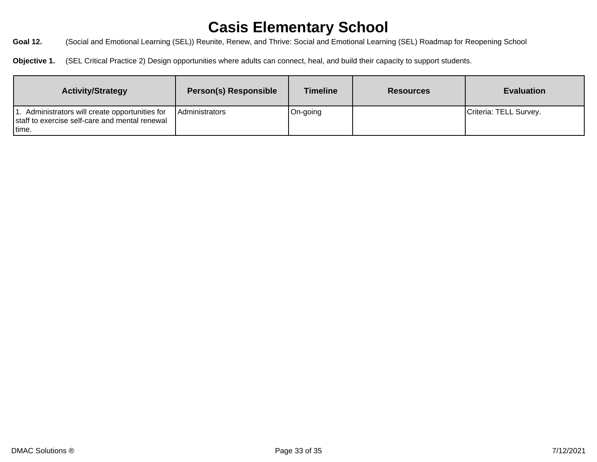Goal 12. **(Social and Emotional Learning (SEL))** Reunite, Renew, and Thrive: Social and Emotional Learning (SEL) Roadmap for Reopening School

**Objective 1.** (SEL Critical Practice 2) Design opportunities where adults can connect, heal, and build their capacity to support students.

| <b>Activity/Strategy</b>                                                                                    | <b>Person(s) Responsible</b> | <b>Timeline</b> | <b>Resources</b> | <b>Evaluation</b>      |
|-------------------------------------------------------------------------------------------------------------|------------------------------|-----------------|------------------|------------------------|
| 1. Administrators will create opportunities for<br>staff to exercise self-care and mental renewal<br>Itime. | Administrators               | On-going        |                  | Criteria: TELL Survey. |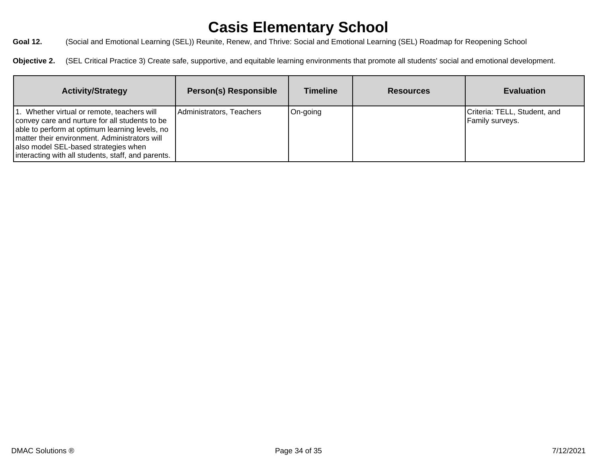**Goal 12.** (Social and Emotional Learning (SEL)) Reunite, Renew, and Thrive: Social and Emotional Learning (SEL) Roadmap for Reopening School

**Objective 2.** (SEL Critical Practice 3) Create safe, supportive, and equitable learning environments that promote all students' social and emotional development.

| <b>Activity/Strategy</b>                                                                                                                                                                                                                                                                       | <b>Person(s) Responsible</b> | <b>Timeline</b> | <b>Resources</b> | <b>Evaluation</b>                                      |
|------------------------------------------------------------------------------------------------------------------------------------------------------------------------------------------------------------------------------------------------------------------------------------------------|------------------------------|-----------------|------------------|--------------------------------------------------------|
| 1. Whether virtual or remote, teachers will<br>convey care and nurture for all students to be<br>able to perform at optimum learning levels, no<br>matter their environment. Administrators will<br>also model SEL-based strategies when<br>interacting with all students, staff, and parents. | Administrators, Teachers     | On-going        |                  | Criteria: TELL, Student, and<br><b>Family surveys.</b> |